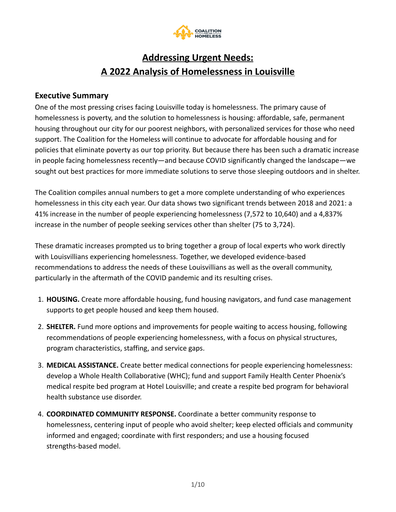

# **Addressing Urgent Needs: A 2022 Analysis of Homelessness in Louisville**

## **Executive Summary**

One of the most pressing crises facing Louisville today is homelessness. The primary cause of homelessness is poverty, and the solution to homelessness is housing: affordable, safe, permanent housing throughout our city for our poorest neighbors, with personalized services for those who need support. The Coalition for the Homeless will continue to advocate for affordable housing and for policies that eliminate poverty as our top priority. But because there has been such a dramatic increase in people facing homelessness recently—and because COVID significantly changed the landscape—we sought out best practices for more immediate solutions to serve those sleeping outdoors and in shelter.

The Coalition compiles annual numbers to get a more complete understanding of who experiences homelessness in this city each year. Our data shows two significant trends between 2018 and 2021: a 41% increase in the number of people experiencing homelessness (7,572 to 10,640) and a 4,837% increase in the number of people seeking services other than shelter (75 to 3,724).

These dramatic increases prompted us to bring together a group of local experts who work directly with Louisvillians experiencing homelessness. Together, we developed evidence-based recommendations to address the needs of these Louisvillians as well as the overall community, particularly in the aftermath of the COVID pandemic and its resulting crises.

- 1. **HOUSING.** Create more affordable housing, fund housing navigators, and fund case management supports to get people housed and keep them housed.
- 2. **SHELTER.** Fund more options and improvements for people waiting to access housing, following recommendations of people experiencing homelessness, with a focus on physical structures, program characteristics, staffing, and service gaps.
- 3. **MEDICAL ASSISTANCE.** Create better medical connections for people experiencing homelessness: develop a Whole Health Collaborative (WHC); fund and support Family Health Center Phoenix's medical respite bed program at Hotel Louisville; and create a respite bed program for behavioral health substance use disorder.
- 4. **COORDINATED COMMUNITY RESPONSE.** Coordinate a better community response to homelessness, centering input of people who avoid shelter; keep elected officials and community informed and engaged; coordinate with first responders; and use a housing focused strengths-based model.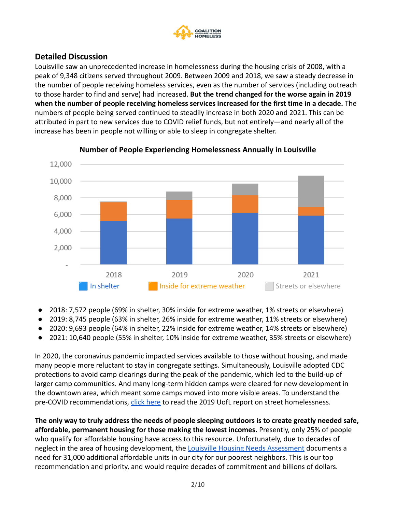

## **Detailed Discussion**

Louisville saw an unprecedented increase in homelessness during the housing crisis of 2008, with a peak of 9,348 citizens served throughout 2009. Between 2009 and 2018, we saw a steady decrease in the number of people receiving homeless services, even as the number of services (including outreach to those harder to find and serve) had increased. **But the trend changed for the worse again in 2019 when the number of people receiving homeless services increased for the first time in a decade.** The numbers of people being served continued to steadily increase in both 2020 and 2021. This can be attributed in part to new services due to COVID relief funds, but not entirely—and nearly all of the increase has been in people not willing or able to sleep in congregate shelter.



### **Number of People Experiencing Homelessness Annually in Louisville**

- 2018: 7,572 people (69% in shelter, 30% inside for extreme weather, 1% streets or elsewhere)
- 2019: 8,745 people (63% in shelter, 26% inside for extreme weather, 11% streets or elsewhere)
- 2020: 9,693 people (64% in shelter, 22% inside for extreme weather, 14% streets or elsewhere)
- 2021: 10,640 people (55% in shelter, 10% inside for extreme weather, 35% streets or elsewhere)

In 2020, the coronavirus pandemic impacted services available to those without housing, and made many people more reluctant to stay in congregate settings. Simultaneously, Louisville adopted CDC protections to avoid camp clearings during the peak of the pandemic, which led to the build-up of larger camp communities. And many long-term hidden camps were cleared for new development in the downtown area, which meant some camps moved into more visible areas. To understand the pre-COVID recommendations, [click here](https://louhomeless.org/wp-content/uploads/2019/06/Solving-Street-Homelessness-in-Louisville.pdf) to read the 2019 UofL report on street homelessness.

**The only way to truly address the needs of people sleeping outdoors is to create greatly needed safe, affordable, permanent housing for those making the lowest incomes.** Presently, only 25% of people who qualify for affordable housing have access to this resource. Unfortunately, due to decades of neglect in the area of housing development, the Louisville [Housing Needs Assessment](https://louisvilleky.gov/government/housing/housing-needs-assessment) documents a need for 31,000 additional affordable units in our city for our poorest neighbors. This is our top recommendation and priority, and would require decades of commitment and billions of dollars.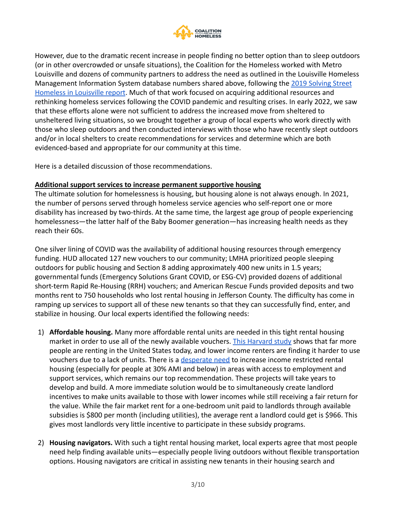

However, due to the dramatic recent increase in people finding no better option than to sleep outdoors (or in other overcrowded or unsafe situations), the Coalition for the Homeless worked with Metro Louisville and dozens of community partners to address the need as outlined in the Louisville Homeless Management Information System database numbers shared above, following the [2019 Solving Street](https://louhomeless.org/wp-content/uploads/2019/06/Solving-Street-Homelessness-in-Louisville.pdf) [Homeless in Louisville report](https://louhomeless.org/wp-content/uploads/2019/06/Solving-Street-Homelessness-in-Louisville.pdf). Much of that work focused on acquiring additional resources and rethinking homeless services following the COVID pandemic and resulting crises. In early 2022, we saw that these efforts alone were not sufficient to address the increased move from sheltered to unsheltered living situations, so we brought together a group of local experts who work directly with those who sleep outdoors and then conducted interviews with those who have recently slept outdoors and/or in local shelters to create recommendations for services and determine which are both evidenced-based and appropriate for our community at this time.

Here is a detailed discussion of those recommendations.

#### **Additional support services to increase permanent supportive housing**

The ultimate solution for homelessness is housing, but housing alone is not always enough. In 2021, the number of persons served through homeless service agencies who self-report one or more disability has increased by two-thirds. At the same time, the largest age group of people experiencing homelessness—the latter half of the Baby Boomer generation—has increasing health needs as they reach their 60s.

One silver lining of COVID was the availability of additional housing resources through emergency funding. HUD allocated 127 new vouchers to our community; LMHA prioritized people sleeping outdoors for public housing and Section 8 adding approximately 400 new units in 1.5 years; governmental funds (Emergency Solutions Grant COVID, or ESG-CV) provided dozens of additional short-term Rapid Re-Housing (RRH) vouchers; and American Rescue Funds provided deposits and two months rent to 750 households who lost rental housing in Jefferson County. The difficulty has come in ramping up services to support all of these new tenants so that they can successfully find, enter, and stabilize in housing. Our local experts identified the following needs:

- 1) **Affordable housing.** Many more affordable rental units are needed in this tight rental housing market in order to use all of the newly available vouchers. [This Harvard study](https://www.jchs.harvard.edu/americas-rental-housing-2020) shows that far more people are renting in the United States today, and lower income renters are finding it harder to use vouchers due to a lack of units. There is a [desperate](https://louisvilleky.gov/government/housing/housing-needs-assessment) need to increase income restricted rental housing (especially for people at 30% AMI and below) in areas with access to employment and support services, which remains our top recommendation. These projects will take years to develop and build. A more immediate solution would be to simultaneously create landlord incentives to make units available to those with lower incomes while still receiving a fair return for the value. While the fair market rent for a one-bedroom unit paid to landlords through available subsidies is \$800 per month (including utilities), the average rent a landlord could get is \$966. This gives most landlords very little incentive to participate in these subsidy programs.
- 2) **Housing navigators.** With such a tight rental housing market, local experts agree that most people need help finding available units—especially people living outdoors without flexible transportation options. Housing navigators are critical in assisting new tenants in their housing search and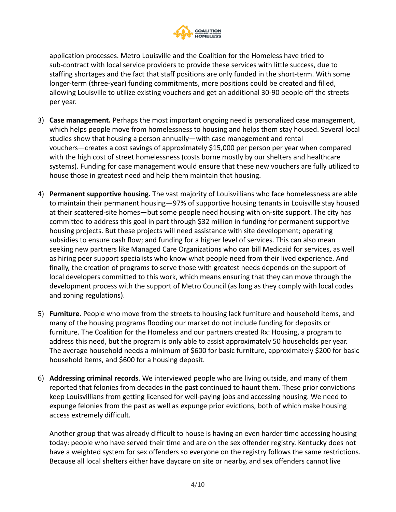

application processes. Metro Louisville and the Coalition for the Homeless have tried to sub-contract with local service providers to provide these services with little success, due to staffing shortages and the fact that staff positions are only funded in the short-term. With some longer-term (three-year) funding commitments, more positions could be created and filled, allowing Louisville to utilize existing vouchers and get an additional 30-90 people off the streets per year.

- 3) **Case management.** Perhaps the most important ongoing need is personalized case management, which helps people move from homelessness to housing and helps them stay housed. Several local studies show that housing a person annually—with case management and rental vouchers—creates a cost savings of approximately \$15,000 per person per year when compared with the high cost of street homelessness (costs borne mostly by our shelters and healthcare systems). Funding for case management would ensure that these new vouchers are fully utilized to house those in greatest need and help them maintain that housing.
- 4) **Permanent supportive housing.** The vast majority of Louisvillians who face homelessness are able to maintain their permanent housing—97% of supportive housing tenants in Louisville stay housed at their scattered-site homes—but some people need housing with on-site support. The city has committed to address this goal in part through \$32 million in funding for permanent supportive housing projects. But these projects will need assistance with site development; operating subsidies to ensure cash flow; and funding for a higher level of services. This can also mean seeking new partners like Managed Care Organizations who can bill Medicaid for services, as well as hiring peer support specialists who know what people need from their lived experience. And finally, the creation of programs to serve those with greatest needs depends on the support of local developers committed to this work, which means ensuring that they can move through the development process with the support of Metro Council (as long as they comply with local codes and zoning regulations).
- 5) **Furniture.** People who move from the streets to housing lack furniture and household items, and many of the housing programs flooding our market do not include funding for deposits or furniture. The Coalition for the Homeless and our partners created Rx: Housing, a program to address this need, but the program is only able to assist approximately 50 households per year. The average household needs a minimum of \$600 for basic furniture, approximately \$200 for basic household items, and \$600 for a housing deposit.
- 6) **Addressing criminal records**. We interviewed people who are living outside, and many of them reported that felonies from decades in the past continued to haunt them. These prior convictions keep Louisvillians from getting licensed for well-paying jobs and accessing housing. We need to expunge felonies from the past as well as expunge prior evictions, both of which make housing access extremely difficult.

Another group that was already difficult to house is having an even harder time accessing housing today: people who have served their time and are on the sex offender registry. Kentucky does not have a weighted system for sex offenders so everyone on the registry follows the same restrictions. Because all local shelters either have daycare on site or nearby, and sex offenders cannot live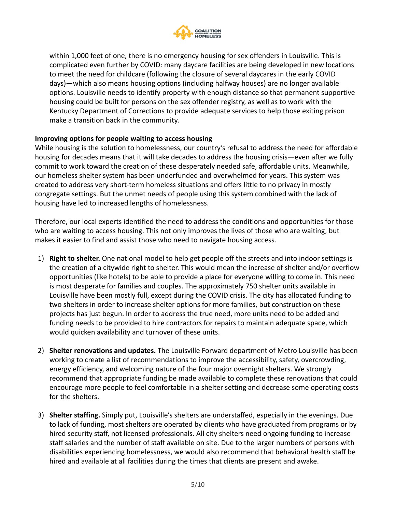

within 1,000 feet of one, there is no emergency housing for sex offenders in Louisville. This is complicated even further by COVID: many daycare facilities are being developed in new locations to meet the need for childcare (following the closure of several daycares in the early COVID days)—which also means housing options (including halfway houses) are no longer available options. Louisville needs to identify property with enough distance so that permanent supportive housing could be built for persons on the sex offender registry, as well as to work with the Kentucky Department of Corrections to provide adequate services to help those exiting prison make a transition back in the community.

#### **Improving options for people waiting to access housing**

While housing is the solution to homelessness, our country's refusal to address the need for affordable housing for decades means that it will take decades to address the housing crisis—even after we fully commit to work toward the creation of these desperately needed safe, affordable units. Meanwhile, our homeless shelter system has been underfunded and overwhelmed for years. This system was created to address very short-term homeless situations and offers little to no privacy in mostly congregate settings. But the unmet needs of people using this system combined with the lack of housing have led to increased lengths of homelessness.

Therefore, our local experts identified the need to address the conditions and opportunities for those who are waiting to access housing. This not only improves the lives of those who are waiting, but makes it easier to find and assist those who need to navigate housing access.

- 1) **Right to shelter.** One national model to help get people off the streets and into indoor settings is the creation of a citywide right to shelter. This would mean the increase of shelter and/or overflow opportunities (like hotels) to be able to provide a place for everyone willing to come in. This need is most desperate for families and couples. The approximately 750 shelter units available in Louisville have been mostly full, except during the COVID crisis. The city has allocated funding to two shelters in order to increase shelter options for more families, but construction on these projects has just begun. In order to address the true need, more units need to be added and funding needs to be provided to hire contractors for repairs to maintain adequate space, which would quicken availability and turnover of these units.
- 2) **Shelter renovations and updates.** The Louisville Forward department of Metro Louisville has been working to create a list of recommendations to improve the accessibility, safety, overcrowding, energy efficiency, and welcoming nature of the four major overnight shelters. We strongly recommend that appropriate funding be made available to complete these renovations that could encourage more people to feel comfortable in a shelter setting and decrease some operating costs for the shelters.
- 3) **Shelter staffing.** Simply put, Louisville's shelters are understaffed, especially in the evenings. Due to lack of funding, most shelters are operated by clients who have graduated from programs or by hired security staff, not licensed professionals. All city shelters need ongoing funding to increase staff salaries and the number of staff available on site. Due to the larger numbers of persons with disabilities experiencing homelessness, we would also recommend that behavioral health staff be hired and available at all facilities during the times that clients are present and awake.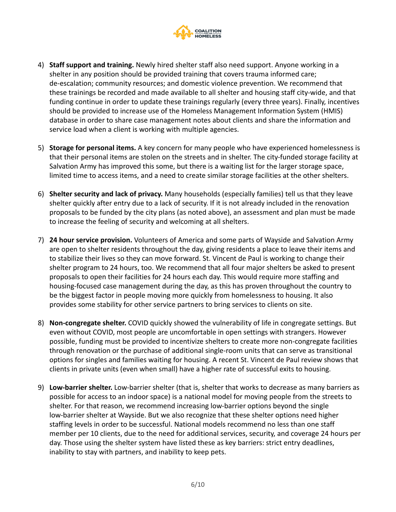

- 4) **Staff support and training.** Newly hired shelter staff also need support. Anyone working in a shelter in any position should be provided training that covers trauma informed care; de-escalation; community resources; and domestic violence prevention. We recommend that these trainings be recorded and made available to all shelter and housing staff city-wide, and that funding continue in order to update these trainings regularly (every three years). Finally, incentives should be provided to increase use of the Homeless Management Information System (HMIS) database in order to share case management notes about clients and share the information and service load when a client is working with multiple agencies.
- 5) **Storage for personal items.** A key concern for many people who have experienced homelessness is that their personal items are stolen on the streets and in shelter. The city-funded storage facility at Salvation Army has improved this some, but there is a waiting list for the larger storage space, limited time to access items, and a need to create similar storage facilities at the other shelters.
- 6) **Shelter security and lack of privacy.** Many households (especially families) tell us that they leave shelter quickly after entry due to a lack of security. If it is not already included in the renovation proposals to be funded by the city plans (as noted above), an assessment and plan must be made to increase the feeling of security and welcoming at all shelters.
- 7) **24 hour service provision.** Volunteers of America and some parts of Wayside and Salvation Army are open to shelter residents throughout the day, giving residents a place to leave their items and to stabilize their lives so they can move forward. St. Vincent de Paul is working to change their shelter program to 24 hours, too. We recommend that all four major shelters be asked to present proposals to open their facilities for 24 hours each day. This would require more staffing and housing-focused case management during the day, as this has proven throughout the country to be the biggest factor in people moving more quickly from homelessness to housing. It also provides some stability for other service partners to bring services to clients on site.
- 8) **Non-congregate shelter.** COVID quickly showed the vulnerability of life in congregate settings. But even without COVID, most people are uncomfortable in open settings with strangers. However possible, funding must be provided to incentivize shelters to create more non-congregate facilities through renovation or the purchase of additional single-room units that can serve as transitional options for singles and families waiting for housing. A recent St. Vincent de Paul review shows that clients in private units (even when small) have a higher rate of successful exits to housing.
- 9) **Low-barrier shelter.** Low-barrier shelter (that is, shelter that works to decrease as many barriers as possible for access to an indoor space) is a national model for moving people from the streets to shelter. For that reason, we recommend increasing low-barrier options beyond the single low-barrier shelter at Wayside. But we also recognize that these shelter options need higher staffing levels in order to be successful. National models recommend no less than one staff member per 10 clients, due to the need for additional services, security, and coverage 24 hours per day. Those using the shelter system have listed these as key barriers: strict entry deadlines, inability to stay with partners, and inability to keep pets.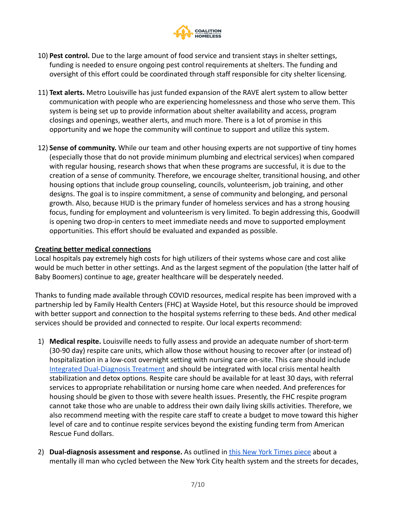

- 10) **Pest control.** Due to the large amount of food service and transient stays in shelter settings, funding is needed to ensure ongoing pest control requirements at shelters. The funding and oversight of this effort could be coordinated through staff responsible for city shelter licensing.
- 11) **Text alerts.** Metro Louisville has just funded expansion of the RAVE alert system to allow better communication with people who are experiencing homelessness and those who serve them. This system is being set up to provide information about shelter availability and access, program closings and openings, weather alerts, and much more. There is a lot of promise in this opportunity and we hope the community will continue to support and utilize this system.
- 12) **Sense of community.** While our team and other housing experts are not supportive of tiny homes (especially those that do not provide minimum plumbing and electrical services) when compared with regular housing, research shows that when these programs are successful, it is due to the creation of a sense of community. Therefore, we encourage shelter, transitional housing, and other housing options that include group counseling, councils, volunteerism, job training, and other designs. The goal is to inspire commitment, a sense of community and belonging, and personal growth. Also, because HUD is the primary funder of homeless services and has a strong housing focus, funding for employment and volunteerism is very limited. To begin addressing this, Goodwill is opening two drop-in centers to meet immediate needs and move to supported employment opportunities. This effort should be evaluated and expanded as possible.

#### **Creating better medical connections**

Local hospitals pay extremely high costs for high utilizers of their systems whose care and cost alike would be much better in other settings. And as the largest segment of the population (the latter half of Baby Boomers) continue to age, greater healthcare will be desperately needed.

Thanks to funding made available through COVID resources, medical respite has been improved with a partnership led by Family Health Centers (FHC) at Wayside Hotel, but this resource should be improved with better support and connection to the hospital systems referring to these beds. And other medical services should be provided and connected to respite. Our local experts recommend:

- 1) **Medical respite.** Louisville needs to fully assess and provide an adequate number of short-term (30-90 day) respite care units, which allow those without housing to recover after (or instead of) hospitalization in a low-cost overnight setting with nursing care on-site. This care should include [Integrated Dual-Diagnosis Treatment](https://case.edu/socialwork/centerforebp/practices/substance-abuse-mental-illness/integrated-dual-disorder-treatment) and should be integrated with local crisis mental health stabilization and detox options. Respite care should be available for at least 30 days, with referral services to appropriate rehabilitation or nursing home care when needed. And preferences for housing should be given to those with severe health issues. Presently, the FHC respite program cannot take those who are unable to address their own daily living skills activities. Therefore, we also recommend meeting with the respite care staff to create a budget to move toward this higher level of care and to continue respite services beyond the existing funding term from American Rescue Fund dollars.
- 2) **Dual-diagnosis assessment and response.** As outlined in [this New York Times piece](https://www.nytimes.com/2022/02/05/nyregion/martial-simon-michelle-go.html) about a mentally ill man who cycled between the New York City health system and the streets for decades,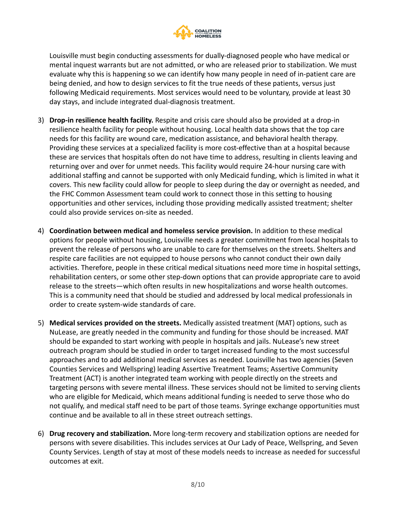

Louisville must begin conducting assessments for dually-diagnosed people who have medical or mental inquest warrants but are not admitted, or who are released prior to stabilization. We must evaluate why this is happening so we can identify how many people in need of in-patient care are being denied, and how to design services to fit the true needs of these patients, versus just following Medicaid requirements. Most services would need to be voluntary, provide at least 30 day stays, and include integrated dual-diagnosis treatment.

- 3) **Drop-in resilience health facility.** Respite and crisis care should also be provided at a drop-in resilience health facility for people without housing. Local health data shows that the top care needs for this facility are wound care, medication assistance, and behavioral health therapy. Providing these services at a specialized facility is more cost-effective than at a hospital because these are services that hospitals often do not have time to address, resulting in clients leaving and returning over and over for unmet needs. This facility would require 24-hour nursing care with additional staffing and cannot be supported with only Medicaid funding, which is limited in what it covers. This new facility could allow for people to sleep during the day or overnight as needed, and the FHC Common Assessment team could work to connect those in this setting to housing opportunities and other services, including those providing medically assisted treatment; shelter could also provide services on-site as needed.
- 4) **Coordination between medical and homeless service provision.** In addition to these medical options for people without housing, Louisville needs a greater commitment from local hospitals to prevent the release of persons who are unable to care for themselves on the streets. Shelters and respite care facilities are not equipped to house persons who cannot conduct their own daily activities. Therefore, people in these critical medical situations need more time in hospital settings, rehabilitation centers, or some other step-down options that can provide appropriate care to avoid release to the streets—which often results in new hospitalizations and worse health outcomes. This is a community need that should be studied and addressed by local medical professionals in order to create system-wide standards of care.
- 5) **Medical services provided on the streets.** Medically assisted treatment (MAT) options, such as NuLease, are greatly needed in the community and funding for those should be increased. MAT should be expanded to start working with people in hospitals and jails. NuLease's new street outreach program should be studied in order to target increased funding to the most successful approaches and to add additional medical services as needed. Louisville has two agencies (Seven Counties Services and Wellspring) leading Assertive Treatment Teams; Assertive Community Treatment (ACT) is another integrated team working with people directly on the streets and targeting persons with severe mental illness. These services should not be limited to serving clients who are eligible for Medicaid, which means additional funding is needed to serve those who do not qualify, and medical staff need to be part of those teams. Syringe exchange opportunities must continue and be available to all in these street outreach settings.
- 6) **Drug recovery and stabilization.** More long-term recovery and stabilization options are needed for persons with severe disabilities. This includes services at Our Lady of Peace, Wellspring, and Seven County Services. Length of stay at most of these models needs to increase as needed for successful outcomes at exit.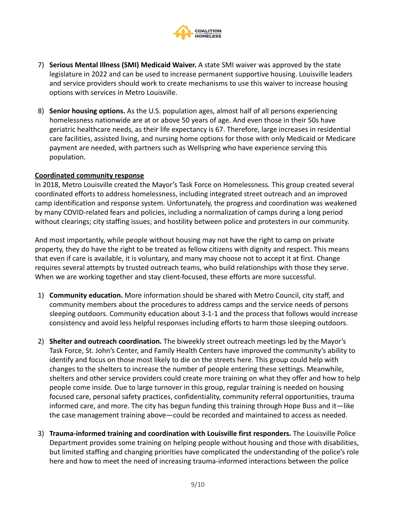

- 7) **Serious Mental Illness (SMI) Medicaid Waiver.** A state SMI waiver was approved by the state legislature in 2022 and can be used to increase permanent supportive housing. Louisville leaders and service providers should work to create mechanisms to use this waiver to increase housing options with services in Metro Louisville.
- 8) **Senior housing options.** As the U.S. population ages, almost half of all persons experiencing homelessness nationwide are at or above 50 years of age. And even those in their 50s have geriatric healthcare needs, as their life expectancy is 67. Therefore, large increases in residential care facilities, assisted living, and nursing home options for those with only Medicaid or Medicare payment are needed, with partners such as Wellspring who have experience serving this population.

#### **Coordinated community response**

In 2018, Metro Louisville created the Mayor's Task Force on Homelessness. This group created several coordinated efforts to address homelessness, including integrated street outreach and an improved camp identification and response system. Unfortunately, the progress and coordination was weakened by many COVID-related fears and policies, including a normalization of camps during a long period without clearings; city staffing issues; and hostility between police and protesters in our community.

And most importantly, while people without housing may not have the right to camp on private property, they do have the right to be treated as fellow citizens with dignity and respect. This means that even if care is available, it is voluntary, and many may choose not to accept it at first. Change requires several attempts by trusted outreach teams, who build relationships with those they serve. When we are working together and stay client-focused, these efforts are more successful.

- 1) **Community education.** More information should be shared with Metro Council, city staff, and community members about the procedures to address camps and the service needs of persons sleeping outdoors. Community education about 3-1-1 and the process that follows would increase consistency and avoid less helpful responses including efforts to harm those sleeping outdoors.
- 2) **Shelter and outreach coordination.** The biweekly street outreach meetings led by the Mayor's Task Force, St. John's Center, and Family Health Centers have improved the community's ability to identify and focus on those most likely to die on the streets here. This group could help with changes to the shelters to increase the number of people entering these settings. Meanwhile, shelters and other service providers could create more training on what they offer and how to help people come inside. Due to large turnover in this group, regular training is needed on housing focused care, personal safety practices, confidentiality, community referral opportunities, trauma informed care, and more. The city has begun funding this training through Hope Buss and it—like the case management training above—could be recorded and maintained to access as needed.
- 3) **Trauma-informed training and coordination with Louisville first responders.** The Louisville Police Department provides some training on helping people without housing and those with disabilities, but limited staffing and changing priorities have complicated the understanding of the police's role here and how to meet the need of increasing trauma-informed interactions between the police